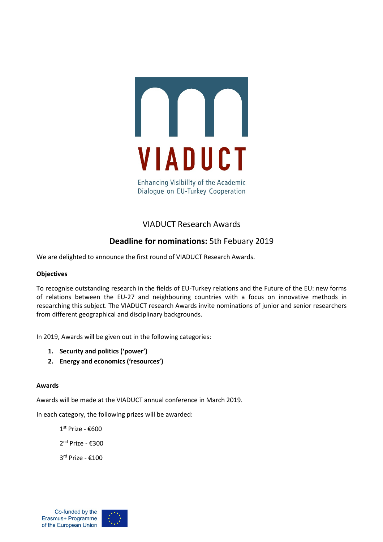

**Enhancing Visibility of the Academic** Dialoque on EU-Turkey Cooperation

# VIADUCT Research Awards

# **Deadline for nominations:** 5th Febuary 2019

We are delighted to announce the first round of VIADUCT Research Awards.

## **Objectives**

To recognise outstanding research in the fields of EU-Turkey relations and the Future of the EU: new forms of relations between the EU-27 and neighbouring countries with a focus on innovative methods in researching this subject. The VIADUCT research Awards invite nominations of junior and senior researchers from different geographical and disciplinary backgrounds.

In 2019, Awards will be given out in the following categories:

- **1. Security and politics ('power')**
- **2. Energy and economics ('resources')**

## **Awards**

Awards will be made at the VIADUCT annual conference in March 2019.

In each category, the following prizes will be awarded:

1 st Prize - €600 2<sup>nd</sup> Prize - €300 3 rd Prize - €100